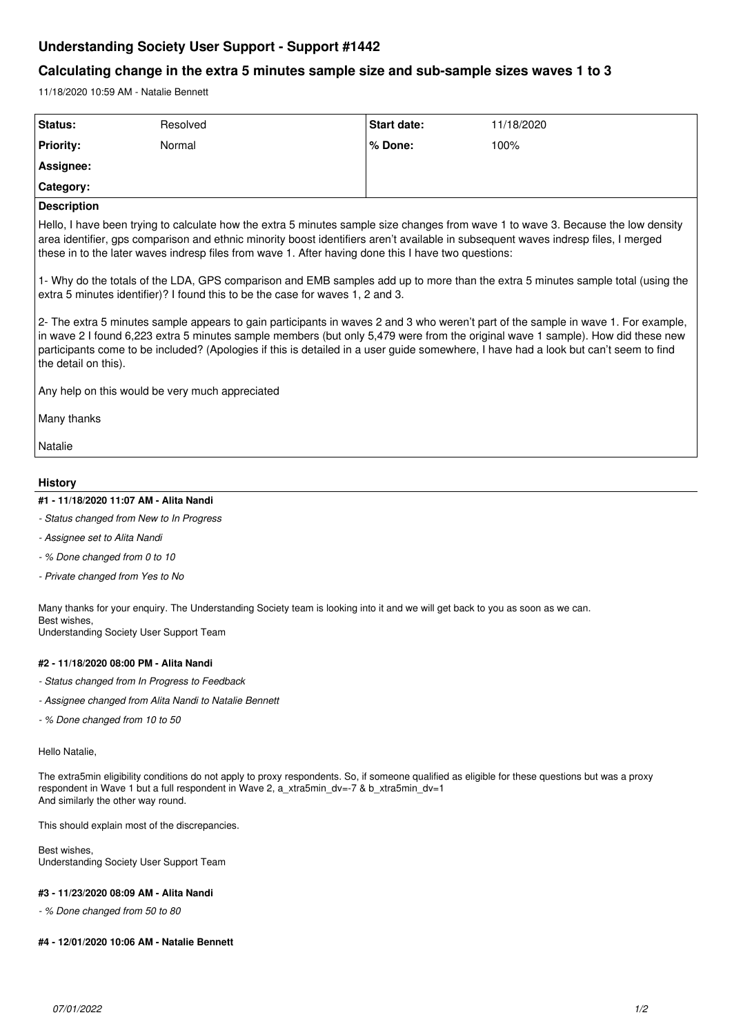# **Understanding Society User Support - Support #1442**

## **Calculating change in the extra 5 minutes sample size and sub-sample sizes waves 1 to 3**

11/18/2020 10:59 AM - Natalie Bennett

| Status:                                                                                                                                                                                                                                                                                                                                                                                                                               | Resolved | <b>Start date:</b> | 11/18/2020 |
|---------------------------------------------------------------------------------------------------------------------------------------------------------------------------------------------------------------------------------------------------------------------------------------------------------------------------------------------------------------------------------------------------------------------------------------|----------|--------------------|------------|
| <b>Priority:</b>                                                                                                                                                                                                                                                                                                                                                                                                                      | Normal   | % Done:            | 100%       |
| Assignee:                                                                                                                                                                                                                                                                                                                                                                                                                             |          |                    |            |
| Category:                                                                                                                                                                                                                                                                                                                                                                                                                             |          |                    |            |
| <b>Description</b>                                                                                                                                                                                                                                                                                                                                                                                                                    |          |                    |            |
| Hello, I have been trying to calculate how the extra 5 minutes sample size changes from wave 1 to wave 3. Because the low density<br>area identifier, gps comparison and ethnic minority boost identifiers aren't available in subsequent waves indresp files, I merged<br>these in to the later waves indresp files from wave 1. After having done this I have two questions:                                                        |          |                    |            |
| 1- Why do the totals of the LDA, GPS comparison and EMB samples add up to more than the extra 5 minutes sample total (using the<br>extra 5 minutes identifier)? I found this to be the case for waves 1, 2 and 3.                                                                                                                                                                                                                     |          |                    |            |
| 2- The extra 5 minutes sample appears to gain participants in waves 2 and 3 who weren't part of the sample in wave 1. For example,<br>in wave 2 I found 6,223 extra 5 minutes sample members (but only 5,479 were from the original wave 1 sample). How did these new<br>participants come to be included? (Apologies if this is detailed in a user guide somewhere, I have had a look but can't seem to find<br>the detail on this). |          |                    |            |
| Any help on this would be very much appreciated                                                                                                                                                                                                                                                                                                                                                                                       |          |                    |            |
| Many thanks                                                                                                                                                                                                                                                                                                                                                                                                                           |          |                    |            |
| Natalie                                                                                                                                                                                                                                                                                                                                                                                                                               |          |                    |            |
|                                                                                                                                                                                                                                                                                                                                                                                                                                       |          |                    |            |
| <b>History</b>                                                                                                                                                                                                                                                                                                                                                                                                                        |          |                    |            |
| #1 - 11/18/2020 11:07 AM - Alita Nandi                                                                                                                                                                                                                                                                                                                                                                                                |          |                    |            |
| - Status changed from New to In Progress                                                                                                                                                                                                                                                                                                                                                                                              |          |                    |            |

## *- Assignee set to Alita Nandi*

- *% Done changed from 0 to 10*
- *Private changed from Yes to No*

Many thanks for your enquiry. The Understanding Society team is looking into it and we will get back to you as soon as we can. Best wishes,

Understanding Society User Support Team

## **#2 - 11/18/2020 08:00 PM - Alita Nandi**

- *Status changed from In Progress to Feedback*
- *Assignee changed from Alita Nandi to Natalie Bennett*
- *% Done changed from 10 to 50*

#### Hello Natalie,

The extra5min eligibility conditions do not apply to proxy respondents. So, if someone qualified as eligible for these questions but was a proxy respondent in Wave 1 but a full respondent in Wave 2, a\_xtra5min\_dv=-7 & b\_xtra5min\_dv=1 And similarly the other way round.

This should explain most of the discrepancies.

Best wishes, Understanding Society User Support Team

## **#3 - 11/23/2020 08:09 AM - Alita Nandi**

*- % Done changed from 50 to 80*

## **#4 - 12/01/2020 10:06 AM - Natalie Bennett**